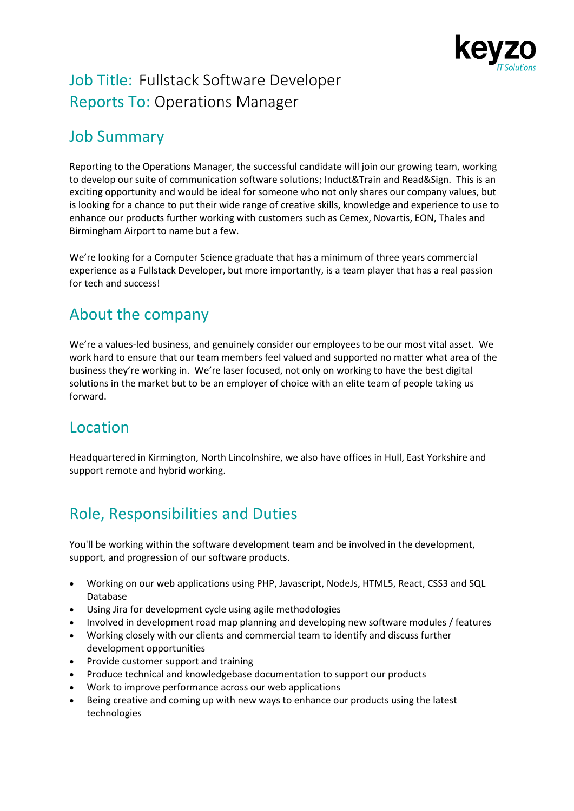

## Job Title: Fullstack Software Developer Reports To: Operations Manager

## Job Summary

Reporting to the Operations Manager, the successful candidate will join our growing team, working to develop our suite of communication software solutions; Induct&Train and Read&Sign. This is an exciting opportunity and would be ideal for someone who not only shares our company values, but is looking for a chance to put their wide range of creative skills, knowledge and experience to use to enhance our products further working with customers such as Cemex, Novartis, EON, Thales and Birmingham Airport to name but a few.

We're looking for a Computer Science graduate that has a minimum of three years commercial experience as a Fullstack Developer, but more importantly, is a team player that has a real passion for tech and success!

## About the company

We're a values-led business, and genuinely consider our employees to be our most vital asset. We work hard to ensure that our team members feel valued and supported no matter what area of the business they're working in. We're laser focused, not only on working to have the best digital solutions in the market but to be an employer of choice with an elite team of people taking us forward.

## **Location**

Headquartered in Kirmington, North Lincolnshire, we also have offices in Hull, East Yorkshire and support remote and hybrid working.

## Role, Responsibilities and Duties

You'll be working within the software development team and be involved in the development, support, and progression of our software products.

- Working on our web applications using PHP, Javascript, NodeJs, HTML5, React, CSS3 and SQL Database
- Using Jira for development cycle using agile methodologies
- Involved in development road map planning and developing new software modules / features
- Working closely with our clients and commercial team to identify and discuss further development opportunities
- Provide customer support and training
- Produce technical and knowledgebase documentation to support our products
- Work to improve performance across our web applications
- Being creative and coming up with new ways to enhance our products using the latest technologies